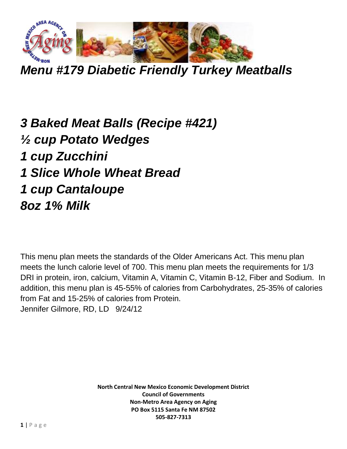

*Menu #179 Diabetic Friendly Turkey Meatballs*

*3 Baked Meat Balls (Recipe #421) ½ cup Potato Wedges 1 cup Zucchini 1 Slice Whole Wheat Bread 1 cup Cantaloupe 8oz 1% Milk*

This menu plan meets the standards of the Older Americans Act. This menu plan meets the lunch calorie level of 700. This menu plan meets the requirements for 1/3 DRI in protein, iron, calcium, Vitamin A, Vitamin C, Vitamin B-12, Fiber and Sodium. In addition, this menu plan is 45-55% of calories from Carbohydrates, 25-35% of calories from Fat and 15-25% of calories from Protein. Jennifer Gilmore, RD, LD 9/24/12

> **North Central New Mexico Economic Development District Council of Governments Non-Metro Area Agency on Aging PO Box 5115 Santa Fe NM 87502 505-827-7313**